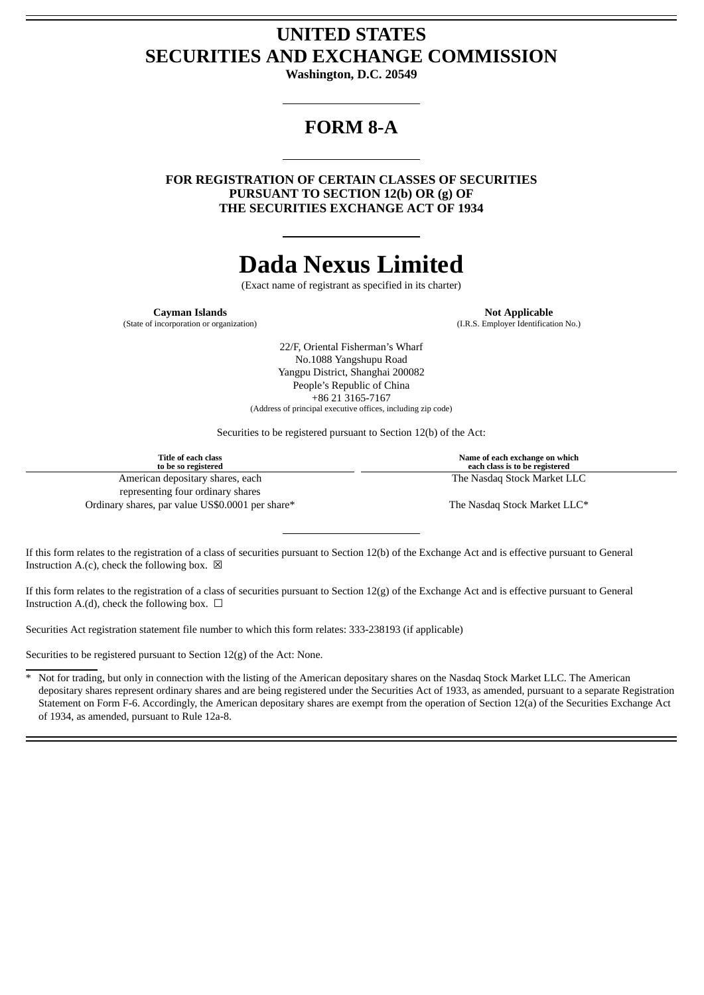## **UNITED STATES SECURITIES AND EXCHANGE COMMISSION**

**Washington, D.C. 20549**

# **FORM 8-A**

**FOR REGISTRATION OF CERTAIN CLASSES OF SECURITIES PURSUANT TO SECTION 12(b) OR (g) OF THE SECURITIES EXCHANGE ACT OF 1934**

# **Dada Nexus Limited**

(Exact name of registrant as specified in its charter)

(State of incorporation or organization) (I.R.S. Employer Identification No.)

**Cayman Islands Not Applicable** 

22/F, Oriental Fisherman's Wharf No.1088 Yangshupu Road Yangpu District, Shanghai 200082 People's Republic of China +86 21 3165-7167 (Address of principal executive offices, including zip code)

Securities to be registered pursuant to Section 12(b) of the Act:

| Title of each class<br>to be so registered       | Name of each exchange on which<br>each class is to be registered |
|--------------------------------------------------|------------------------------------------------------------------|
| American depositary shares, each                 | The Nasdag Stock Market LLC                                      |
| representing four ordinary shares                |                                                                  |
| Ordinary shares, par value US\$0.0001 per share* | The Nasdaq Stock Market LLC*                                     |

If this form relates to the registration of a class of securities pursuant to Section 12(b) of the Exchange Act and is effective pursuant to General Instruction A.(c), check the following box.  $\boxtimes$ 

If this form relates to the registration of a class of securities pursuant to Section 12(g) of the Exchange Act and is effective pursuant to General Instruction A.(d), check the following box.  $\Box$ 

Securities Act registration statement file number to which this form relates: 333-238193 (if applicable)

Securities to be registered pursuant to Section 12(g) of the Act: None.

\* Not for trading, but only in connection with the listing of the American depositary shares on the Nasdaq Stock Market LLC. The American depositary shares represent ordinary shares and are being registered under the Securities Act of 1933, as amended, pursuant to a separate Registration Statement on Form F-6. Accordingly, the American depositary shares are exempt from the operation of Section 12(a) of the Securities Exchange Act of 1934, as amended, pursuant to Rule 12a-8.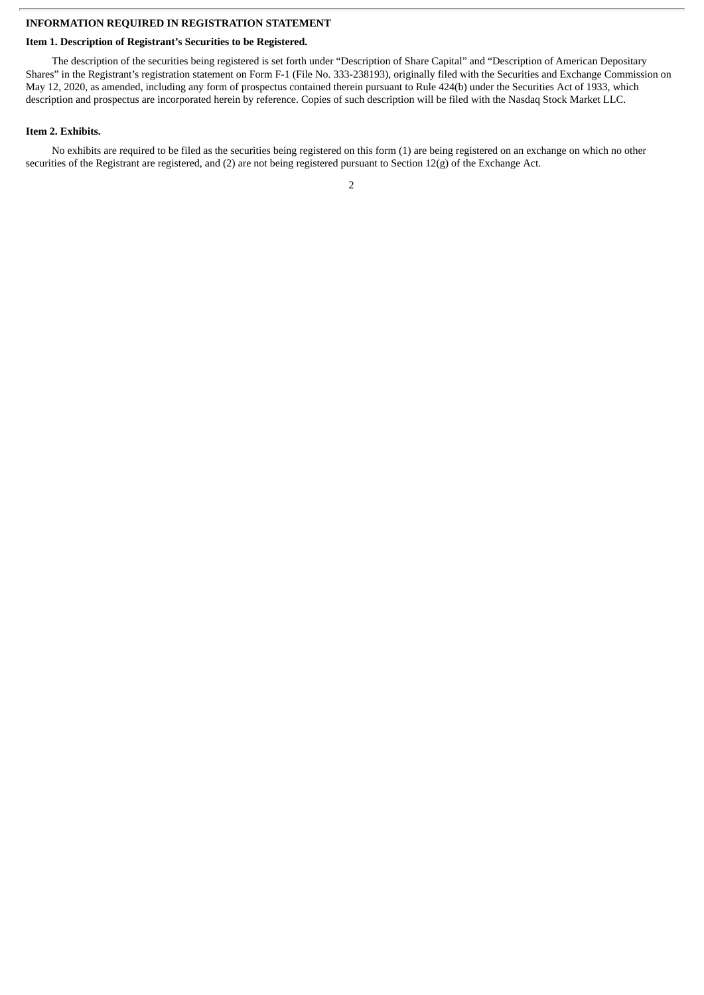## **INFORMATION REQUIRED IN REGISTRATION STATEMENT**

## **Item 1. Description of Registrant's Securities to be Registered.**

The description of the securities being registered is set forth under "Description of Share Capital" and "Description of American Depositary Shares" in the Registrant's registration statement on Form F-1 (File No. 333-238193), originally filed with the Securities and Exchange Commission on May 12, 2020, as amended, including any form of prospectus contained therein pursuant to Rule 424(b) under the Securities Act of 1933, which description and prospectus are incorporated herein by reference. Copies of such description will be filed with the Nasdaq Stock Market LLC.

#### **Item 2. Exhibits.**

No exhibits are required to be filed as the securities being registered on this form (1) are being registered on an exchange on which no other securities of the Registrant are registered, and (2) are not being registered pursuant to Section 12(g) of the Exchange Act.